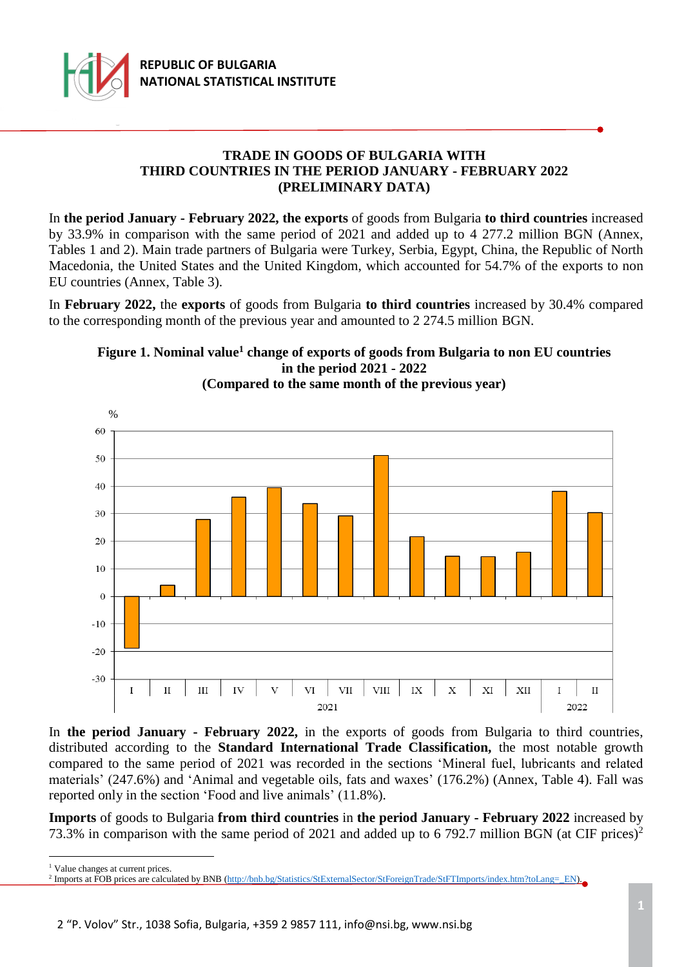

# **TRADE IN GOODS OF BULGARIA WITH THIRD COUNTRIES IN THE PERIOD JANUARY - FEBRUARY 2022 (PRELIMINARY DATA)**

In **the period January - February 2022, the exports** of goods from Bulgaria **to third countries** increased by 33.9% in comparison with the same period of 2021 and added up to 4 277.2 million BGN (Annex, Tables 1 and 2). Main trade partners of Bulgaria were Turkey, Serbia, Egypt, China, the Republic of North Macedonia, the United States and the United Kingdom, which accounted for 54.7% of the exports to non EU countries (Annex, Table 3).

In **February 2022,** the **exports** of goods from Bulgaria **to third countries** increased by 30.4% compared to the corresponding month of the previous year and amounted to 2 274.5 million BGN.



# **Figure 1. Nominal value<sup>1</sup> change of exports of goods from Bulgaria to non EU countries in the period 2021 - 2022**

In **the period January - February 2022,** in the exports of goods from Bulgaria to third countries, distributed according to the **Standard International Trade Classification,** the most notable growth compared to the same period of 2021 was recorded in the sections 'Mineral fuel, lubricants and related materials' (247.6%) and 'Animal and vegetable oils, fats and waxes' (176.2%) (Annex, Table 4). Fall was reported only in the section 'Food and live animals' (11.8%).

**Imports** of goods to Bulgaria **from third countries** in **the period January - February 2022** increased by 73.3% in comparison with the same period of 2021 and added up to 6 792.7 million BGN (at CIF prices)<sup>2</sup>

<sup>1</sup> Value changes at current prices.

<sup>&</sup>lt;sup>2</sup> Imports at FOB prices are calculated by BNB [\(http://bnb.bg/Statistics/StExternalSector/StForeignTrade/StFTImports/index.htm?toLang=\\_EN\)](http://bnb.bg/Statistics/StExternalSector/StForeignTrade/StFTImports/index.htm?toLang=_EN).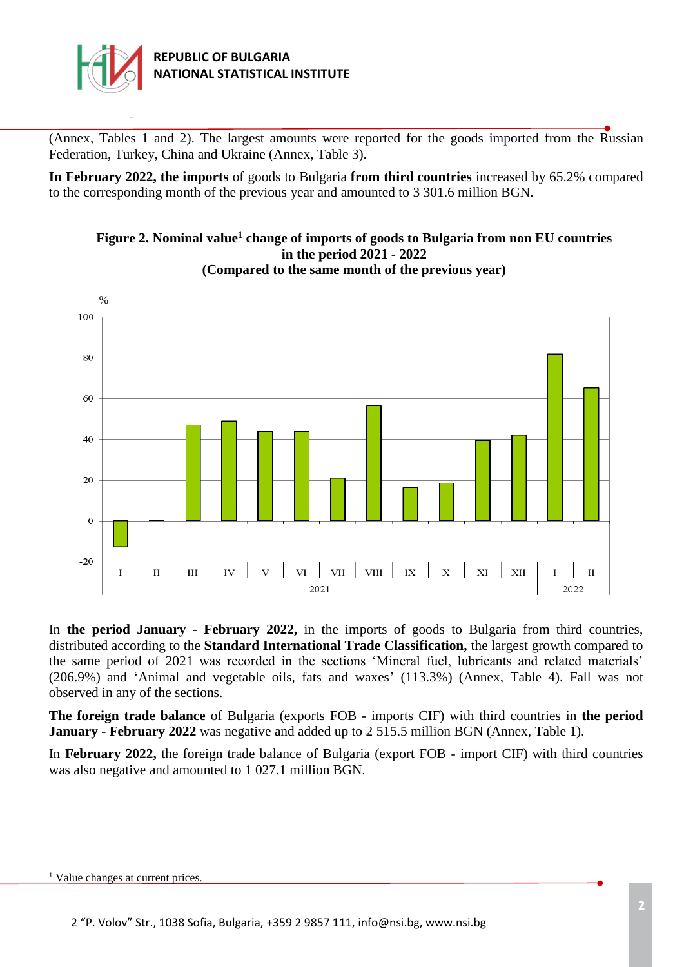

(Annex, Tables 1 and 2). The largest amounts were reported for the goods imported from the Russian Federation, Turkey, China and Ukraine (Annex, Table 3).

**In February 2022, the imports** of goods to Bulgaria **from third countries** increased by 65.2% compared to the corresponding month of the previous year and amounted to 3 301.6 million BGN.



**Figure 2. Nominal value<sup>1</sup> change of imports of goods to Bulgaria from non EU countries in the period 2021 - 2022 (Compared to the same month of the previous year)**

In **the period January - February 2022,** in the imports of goods to Bulgaria from third countries, distributed according to the **Standard International Trade Classification,** the largest growth compared to the same period of 2021 was recorded in the sections 'Mineral fuel, lubricants and related materials' (206.9%) and 'Animal and vegetable oils, fats and waxes' (113.3%) (Annex, Table 4). Fall was not observed in any of the sections.

**The foreign trade balance** of Bulgaria (exports FOB - imports CIF) with third countries in **the period January - February 2022** was negative and added up to 2 515.5 million BGN (Annex, Table 1).

In **February 2022,** the foreign trade balance of Bulgaria (export FOB - import CIF) with third countries was also negative and amounted to 1 027.1 million BGN.

<sup>&</sup>lt;sup>1</sup> Value changes at current prices.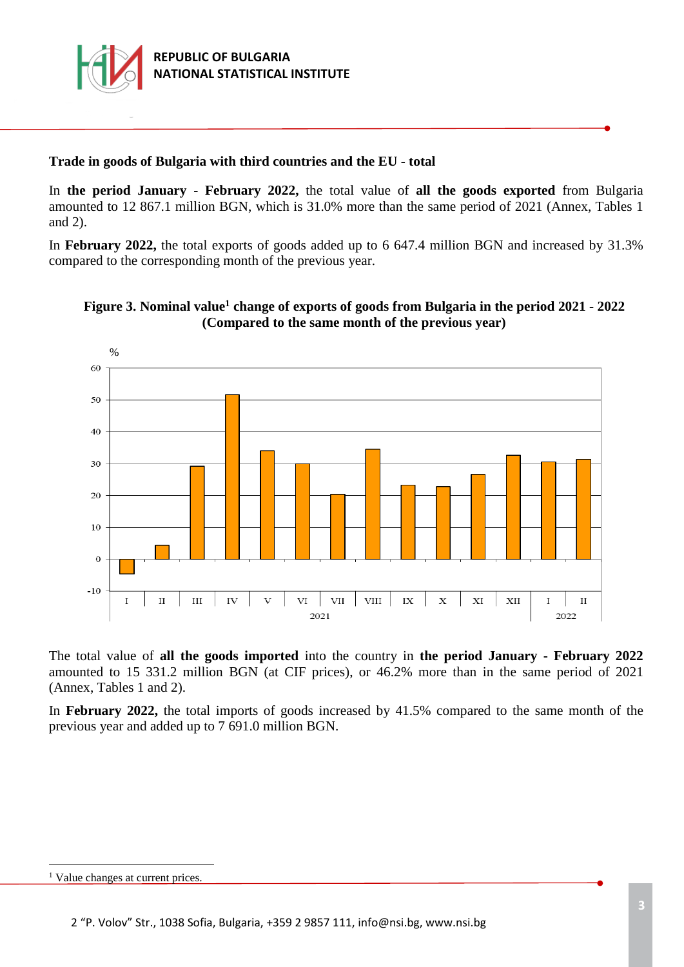

# **Trade in goods of Bulgaria with third countries and the EU - total**

In **the period January - February 2022,** the total value of **all the goods exported** from Bulgaria amounted to 12 867.1 million BGN, which is 31.0% more than the same period of 2021 (Annex, Tables 1 and 2).

In **February 2022,** the total exports of goods added up to 6 647.4 million BGN and increased by 31.3% compared to the corresponding month of the previous year.





The total value of **all the goods imported** into the country in **the period January - February 2022** amounted to 15 331.2 million BGN (at CIF prices), or 46.2% more than in the same period of 2021 (Annex, Tables 1 and 2).

In **February 2022,** the total imports of goods increased by 41.5% compared to the same month of the previous year and added up to 7 691.0 million BGN.

<sup>&</sup>lt;sup>1</sup> Value changes at current prices.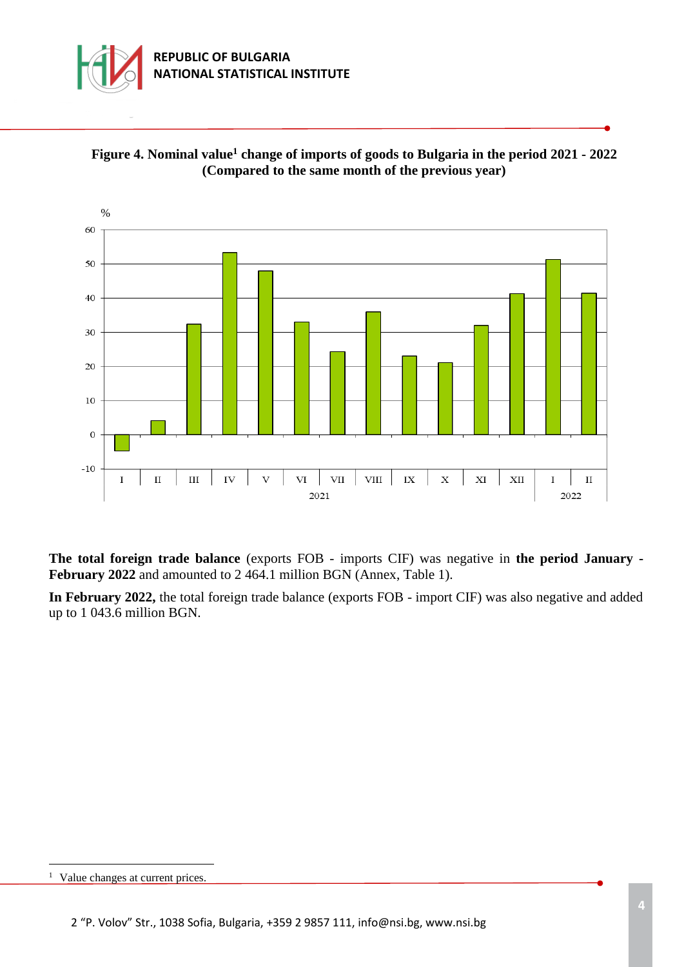





**The total foreign trade balance** (exports FOB - imports CIF) was negative in **the period January - February 2022** and amounted to 2 464.1 million BGN (Annex, Table 1).

**In February 2022,** the total foreign trade balance (exports FOB - import CIF) was also negative and added up to 1 043.6 million BGN.

<sup>&</sup>lt;sup>1</sup> Value changes at current prices.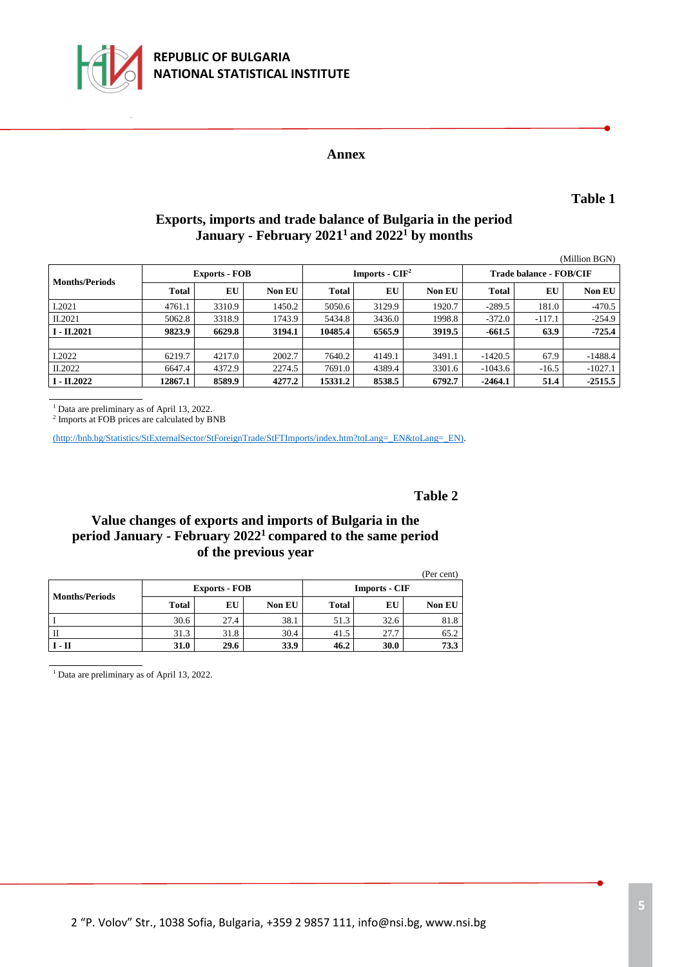

### **Annex**

**Table 1**

# **Exports, imports and trade balance of Bulgaria in the period January - February 2021<sup>1</sup>and 2022<sup>1</sup> by months**

|                       |                      |        |               |                  |        |               |                         |          | (Million BGN) |  |
|-----------------------|----------------------|--------|---------------|------------------|--------|---------------|-------------------------|----------|---------------|--|
| <b>Months/Periods</b> | <b>Exports - FOB</b> |        |               | Imports - $CIF2$ |        |               | Trade balance - FOB/CIF |          |               |  |
|                       | Total                | EU     | <b>Non EU</b> | <b>Total</b>     | EU     | <b>Non EU</b> | <b>Total</b>            | EU       | <b>Non EU</b> |  |
| I.2021                | 4761.1               | 3310.9 | 1450.2        | 5050.6           | 3129.9 | 1920.7        | $-289.5$                | 181.0    | $-470.5$      |  |
| II.2021               | 5062.8               | 3318.9 | 1743.9        | 5434.8           | 3436.0 | 1998.8        | $-372.0$                | $-117.1$ | $-254.9$      |  |
| $I - II.2021$         | 9823.9               | 6629.8 | 3194.1        | 10485.4          | 6565.9 | 3919.5        | -661.5                  | 63.9     | $-725.4$      |  |
|                       |                      |        |               |                  |        |               |                         |          |               |  |
| I.2022                | 6219.7               | 4217.0 | 2002.7        | 7640.2           | 4149.1 | 3491.1        | $-1420.5$               | 67.9     | $-1488.4$     |  |
| II.2022               | 6647.4               | 4372.9 | 2274.5        | 7691.0           | 4389.4 | 3301.6        | $-1043.6$               | $-16.5$  | $-1027.1$     |  |
| $I - II.2022$         | 12867.1              | 8589.9 | 4277.2        | 15331.2          | 8538.5 | 6792.7        | $-2464.1$               | 51.4     | $-2515.5$     |  |

<sup>1</sup> Data are preliminary as of April 13, 2022.

2 Imports at FOB prices are calculated by BNB

[\(http://bnb.bg/Statistics/StExternalSector/StForeignTrade/StFTImports/index.htm?toLang=\\_EN&toLang=\\_EN\).](http://bnb.bg/Statistics/StExternalSector/StForeignTrade/StFTImports/index.htm?toLang=_EN&toLang=_EN)

#### **Table 2**

### **Value changes of exports and imports of Bulgaria in the period January - February 2022<sup>1</sup>compared to the same period of the previous year**

|                       |              |                      |               |                      |      | (Per cent) |  |  |
|-----------------------|--------------|----------------------|---------------|----------------------|------|------------|--|--|
| <b>Months/Periods</b> |              | <b>Exports - FOB</b> |               | <b>Imports - CIF</b> |      |            |  |  |
|                       | <b>Total</b> | EU                   | <b>Non EU</b> | <b>Total</b>         | EU   | Non EU     |  |  |
|                       | 30.6         | 27.4                 | 38.1          | 51.3                 | 32.6 | 81.8       |  |  |
|                       | 31.3         | 31.8                 | 30.4          | 41.5                 | 27.7 | 65.2       |  |  |
| $I - II$              | <b>31.0</b>  | 29.6                 | 33.9          | 46.2                 | 30.0 | 73.3       |  |  |

<sup>1</sup> Data are preliminary as of April 13, 2022.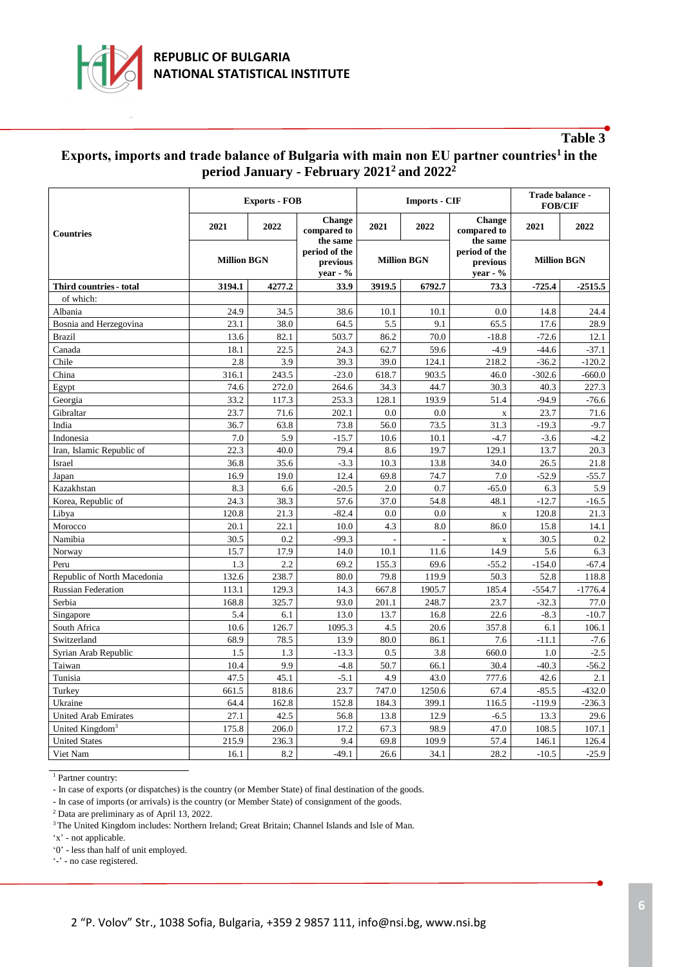

### **Table 3**

### **Еxports, imports and trade balance of Bulgaria with main non EU partner countries<sup>1</sup>in the period January - February 2021<sup>2</sup>and 2022<sup>2</sup>**

|                             | <b>Exports - FOB</b> |        |                                          | <b>Imports - CIF</b> | Trade balance -<br><b>FOB/CIF</b> |                                          |                    |           |
|-----------------------------|----------------------|--------|------------------------------------------|----------------------|-----------------------------------|------------------------------------------|--------------------|-----------|
| <b>Countries</b>            | 2021                 | 2022   | <b>Change</b><br>compared to<br>the same | 2021                 | 2022                              | <b>Change</b><br>compared to<br>the same | 2021               | 2022      |
|                             | <b>Million BGN</b>   |        | period of the<br>previous<br>year - $%$  | <b>Million BGN</b>   |                                   | period of the<br>previous<br>$year - %$  | <b>Million BGN</b> |           |
| Third countries - total     | 3194.1               | 4277.2 | 33.9                                     | 3919.5               | 6792.7                            | 73.3                                     | $-725.4$           | $-2515.5$ |
| of which:                   |                      |        |                                          |                      |                                   |                                          |                    |           |
| Albania                     | 24.9                 | 34.5   | 38.6                                     | 10.1                 | 10.1                              | 0.0                                      | 14.8               | 24.4      |
| Bosnia and Herzegovina      | 23.1                 | 38.0   | 64.5                                     | 5.5                  | 9.1                               | 65.5                                     | 17.6               | 28.9      |
| <b>Brazil</b>               | 13.6                 | 82.1   | 503.7                                    | 86.2                 | 70.0                              | $-18.8$                                  | $-72.6$            | 12.1      |
| Canada                      | 18.1                 | 22.5   | 24.3                                     | 62.7                 | 59.6                              | $-4.9$                                   | $-44.6$            | $-37.1$   |
| Chile                       | 2.8                  | 3.9    | 39.3                                     | 39.0                 | 124.1                             | 218.2                                    | $-36.2$            | $-120.2$  |
| China                       | 316.1                | 243.5  | $-23.0$                                  | 618.7                | 903.5                             | 46.0                                     | $-302.6$           | $-660.0$  |
| Egypt                       | 74.6                 | 272.0  | 264.6                                    | 34.3                 | 44.7                              | 30.3                                     | 40.3               | 227.3     |
| Georgia                     | 33.2                 | 117.3  | 253.3                                    | 128.1                | 193.9                             | 51.4                                     | $-94.9$            | $-76.6$   |
| Gibraltar                   | 23.7                 | 71.6   | 202.1                                    | 0.0                  | 0.0                               | $\mathbf X$                              | 23.7               | 71.6      |
| India                       | 36.7                 | 63.8   | 73.8                                     | 56.0                 | 73.5                              | 31.3                                     | $-19.3$            | $-9.7$    |
| Indonesia                   | 7.0                  | 5.9    | $-15.7$                                  | 10.6                 | 10.1                              | $-4.7$                                   | $-3.6$             | $-4.2$    |
| Iran, Islamic Republic of   | 22.3                 | 40.0   | 79.4                                     | 8.6                  | 19.7                              | 129.1                                    | 13.7               | 20.3      |
| Israel                      | 36.8                 | 35.6   | $-3.3$                                   | 10.3                 | 13.8                              | 34.0                                     | 26.5               | 21.8      |
| Japan                       | 16.9                 | 19.0   | 12.4                                     | 69.8                 | 74.7                              | 7.0                                      | $-52.9$            | $-55.7$   |
| Kazakhstan                  | 8.3                  | 6.6    | $-20.5$                                  | 2.0                  | 0.7                               | $-65.0$                                  | 6.3                | 5.9       |
| Korea, Republic of          | 24.3                 | 38.3   | 57.6                                     | 37.0                 | 54.8                              | 48.1                                     | $-12.7$            | $-16.5$   |
| Libya                       | 120.8                | 21.3   | $-82.4$                                  | 0.0                  | 0.0                               | $\mathbf X$                              | 120.8              | 21.3      |
| Morocco                     | 20.1                 | 22.1   | 10.0                                     | 4.3                  | 8.0                               | 86.0                                     | 15.8               | 14.1      |
| Namibia                     | 30.5                 | 0.2    | $-99.3$                                  |                      | J.                                | $\mathbf X$                              | 30.5               | 0.2       |
| Norway                      | 15.7                 | 17.9   | 14.0                                     | 10.1                 | 11.6                              | 14.9                                     | 5.6                | 6.3       |
| Peru                        | 1.3                  | 2.2    | 69.2                                     | 155.3                | 69.6                              | $-55.2$                                  | $-154.0$           | -67.4     |
| Republic of North Macedonia | 132.6                | 238.7  | 80.0                                     | 79.8                 | 119.9                             | 50.3                                     | 52.8               | 118.8     |
| <b>Russian Federation</b>   | 113.1                | 129.3  | 14.3                                     | 667.8                | 1905.7                            | 185.4                                    | $-554.7$           | $-1776.4$ |
| Serbia                      | 168.8                | 325.7  | 93.0                                     | 201.1                | 248.7                             | 23.7                                     | $-32.3$            | 77.0      |
| Singapore                   | 5.4                  | 6.1    | 13.0                                     | 13.7                 | 16.8                              | 22.6                                     | $-8.3$             | $-10.7$   |
| South Africa                | 10.6                 | 126.7  | 1095.3                                   | 4.5                  | 20.6                              | 357.8                                    | 6.1                | 106.1     |
| Switzerland                 | 68.9                 | 78.5   | 13.9                                     | 80.0                 | 86.1                              | 7.6                                      | $-11.1$            | $-7.6$    |
| Syrian Arab Republic        | 1.5                  | 1.3    | $-13.3$                                  | 0.5                  | 3.8                               | 660.0                                    | 1.0                | $-2.5$    |
| Taiwan                      | 10.4                 | 9.9    | $-4.8$                                   | 50.7                 | 66.1                              | 30.4                                     | $-40.3$            | $-56.2$   |
| Tunisia                     | 47.5                 | 45.1   | $-5.1$                                   | 4.9                  | 43.0                              | 777.6                                    | 42.6               | 2.1       |
| Turkey                      | 661.5                | 818.6  | 23.7                                     | 747.0                | 1250.6                            | 67.4                                     | $-85.5$            | $-432.0$  |
| Ukraine                     | 64.4                 | 162.8  | 152.8                                    | 184.3                | 399.1                             | 116.5                                    | $-119.9$           | $-236.3$  |
| <b>United Arab Emirates</b> | 27.1                 | 42.5   | 56.8                                     | 13.8                 | 12.9                              | $-6.5$                                   | 13.3               | 29.6      |
| United Kingdom <sup>3</sup> | 175.8                | 206.0  | 17.2                                     | 67.3                 | 98.9                              | 47.0                                     | 108.5              | 107.1     |
| <b>United States</b>        | 215.9                | 236.3  | 9.4                                      | 69.8                 | 109.9                             | 57.4                                     | 146.1              | 126.4     |
| Viet Nam                    | 16.1                 | 8.2    | $-49.1$                                  | 26.6                 | 34.1                              | 28.2                                     | $-10.5$            | $-25.9$   |

<sup>1</sup> Partner country:

- In case of exports (or dispatches) is the country (or Member State) of final destination of the goods.

- In case of imports (or arrivals) is the country (or Member State) of consignment of the goods.

<sup>2</sup> Data are preliminary as of April 13, 2022.

<sup>3</sup> The United Kingdom includes: Northern Ireland; Great Britain; Channel Islands and Isle of Man.

'x' - not applicable.

'0' - less than half of unit employed.

'-' - no case registered.